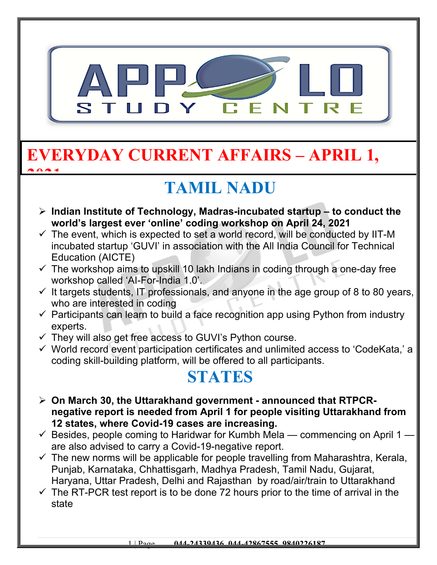

### **EVERYDAY CURRENT AFFAIRS – APRIL 1, 2021**

# **TAMIL NADU**

- **Indian Institute of Technology, Madras-incubated startup to conduct the world's largest ever 'online' coding workshop on April 24, 2021**
- $\checkmark$  The event, which is expected to set a world record, will be conducted by IIT-M incubated startup 'GUVI' in association with the All India Council for Technical Education (AICTE)
- $\checkmark$  The workshop aims to upskill 10 lakh Indians in coding through a one-day free workshop called 'AI-For-India 1.0'.
- $\checkmark$  It targets students, IT professionals, and anyone in the age group of 8 to 80 years, who are interested in coding
- $\checkmark$  Participants can learn to build a face recognition app using Python from industry experts.
- $\checkmark$  They will also get free access to GUVI's Python course.
- $\checkmark$  World record event participation certificates and unlimited access to 'CodeKata,' a coding skill-building platform, will be offered to all participants.

#### **STATES**

- **On March 30, the Uttarakhand government announced that RTPCRnegative report is needed from April 1 for people visiting Uttarakhand from 12 states, where Covid-19 cases are increasing.**
- $\checkmark$  Besides, people coming to Haridwar for Kumbh Mela commencing on April 1 are also advised to carry a Covid-19-negative report.
- $\checkmark$  The new norms will be applicable for people travelling from Maharashtra, Kerala, Punjab, Karnataka, Chhattisgarh, Madhya Pradesh, Tamil Nadu, Gujarat, Haryana, Uttar Pradesh, Delhi and Rajasthan by road/air/train to Uttarakhand
- $\checkmark$  The RT-PCR test report is to be done 72 hours prior to the time of arrival in the state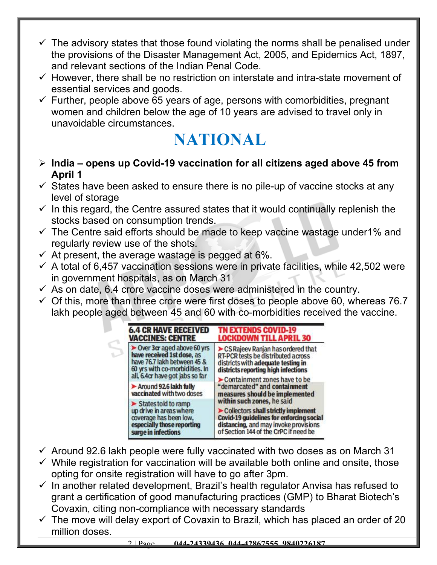- $\checkmark$  The advisory states that those found violating the norms shall be penalised under the provisions of the Disaster Management Act, 2005, and Epidemics Act, 1897, and relevant sections of the Indian Penal Code.
- $\checkmark$  However, there shall be no restriction on interstate and intra-state movement of essential services and goods.
- $\checkmark$  Further, people above 65 years of age, persons with comorbidities, pregnant women and children below the age of 10 years are advised to travel only in unavoidable circumstances.

### **NATIONAL**

- **India opens up Covid-19 vaccination for all citizens aged above 45 from April 1**
- $\checkmark$  States have been asked to ensure there is no pile-up of vaccine stocks at any level of storage
- $\checkmark$  In this regard, the Centre assured states that it would continually replenish the stocks based on consumption trends.
- $\checkmark$  The Centre said efforts should be made to keep vaccine wastage under1% and regularly review use of the shots.
- $\checkmark$  At present, the average wastage is pegged at 6%.
- $\checkmark$  A total of 6,457 vaccination sessions were in private facilities, while 42,502 were in government hospitals, as on March 31
- $\checkmark$  As on date, 6.4 crore vaccine doses were administered in the country.
- $\checkmark$  Of this, more than three crore were first doses to people above 60, whereas 76.7 lakh people aged between 45 and 60 with co-morbidities received the vaccine.



- $\checkmark$  Around 92.6 lakh people were fully vaccinated with two doses as on March 31
- $\checkmark$  While registration for vaccination will be available both online and onsite, those opting for onsite registration will have to go after 3pm.
- $\checkmark$  In another related development, Brazil's health regulator Anvisa has refused to grant a certification of good manufacturing practices (GMP) to Bharat Biotech's Covaxin, citing non-compliance with necessary standards
- $\checkmark$  The move will delay export of Covaxin to Brazil, which has placed an order of 20 million doses.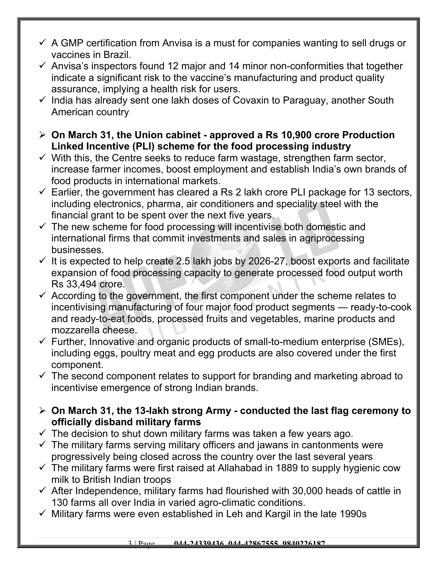- $\checkmark$  A GMP certification from Anvisa is a must for companies wanting to sell drugs or vaccines in Brazil.
- $\checkmark$  Anvisa's inspectors found 12 major and 14 minor non-conformities that together indicate a significant risk to the vaccine's manufacturing and product quality assurance, implying a health risk for users.
- $\checkmark$  India has already sent one lakh doses of Covaxin to Paraguay, another South American country
- **On March 31, the Union cabinet approved a Rs 10,900 crore Production Linked Incentive (PLI) scheme for the food processing industry**
- $\checkmark$  With this, the Centre seeks to reduce farm wastage, strengthen farm sector, increase farmer incomes, boost employment and establish India's own brands of food products in international markets.
- $\checkmark$  Earlier, the government has cleared a Rs 2 lakh crore PLI package for 13 sectors, including electronics, pharma, air conditioners and speciality steel with the financial grant to be spent over the next five years.
- $\checkmark$  The new scheme for food processing will incentivise both domestic and international firms that commit investments and sales in agriprocessing businesses.
- $\checkmark$  It is expected to help create 2.5 lakh jobs by 2026-27, boost exports and facilitate expansion of food processing capacity to generate processed food output worth Rs 33,494 crore.
- $\checkmark$  According to the government, the first component under the scheme relates to incentivising manufacturing of four major food product segments — ready-to-cook and ready-to-eat foods, processed fruits and vegetables, marine products and mozzarella cheese.
- $\checkmark$  Further, Innovative and organic products of small-to-medium enterprise (SMEs), including eggs, poultry meat and egg products are also covered under the first component.
- $\checkmark$  The second component relates to support for branding and marketing abroad to incentivise emergence of strong Indian brands.
- **On March 31, the 13-lakh strong Army conducted the last flag ceremony to officially disband military farms**
- $\checkmark$  The decision to shut down military farms was taken a few years ago.
- $\checkmark$  The military farms serving military officers and jawans in cantonments were progressively being closed across the country over the last several years
- $\checkmark$  The military farms were first raised at Allahabad in 1889 to supply hygienic cow milk to British Indian troops
- $\checkmark$  After Independence, military farms had flourished with 30,000 heads of cattle in 130 farms all over India in varied agro-climatic conditions.
- $\checkmark$  Military farms were even established in Leh and Kargil in the late 1990s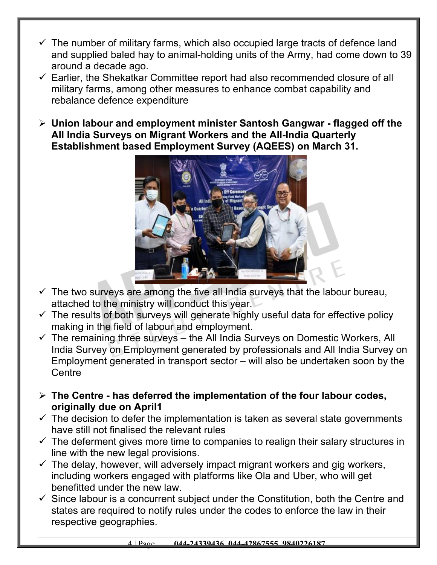- $\checkmark$  The number of military farms, which also occupied large tracts of defence land and supplied baled hay to animal-holding units of the Army, had come down to 39 around a decade ago.
- $\checkmark$  Earlier, the Shekatkar Committee report had also recommended closure of all military farms, among other measures to enhance combat capability and rebalance defence expenditure
- **Union labour and employment minister Santosh Gangwar flagged off the All India Surveys on Migrant Workers and the All-India Quarterly Establishment based Employment Survey (AQEES) on March 31.**



- $\checkmark$  The two surveys are among the five all India surveys that the labour bureau, attached to the ministry will conduct this year.
- $\checkmark$  The results of both surveys will generate highly useful data for effective policy making in the field of labour and employment.
- $\checkmark$  The remaining three surveys the All India Surveys on Domestic Workers, All India Survey on Employment generated by professionals and All India Survey on Employment generated in transport sector – will also be undertaken soon by the **Centre**
- **The Centre has deferred the implementation of the four labour codes, originally due on April1**
- $\checkmark$  The decision to defer the implementation is taken as several state governments have still not finalised the relevant rules
- $\checkmark$  The deferment gives more time to companies to realign their salary structures in line with the new legal provisions.
- $\checkmark$  The delay, however, will adversely impact migrant workers and gig workers, including workers engaged with platforms like Ola and Uber, who will get benefitted under the new law.
- $\checkmark$  Since labour is a concurrent subject under the Constitution, both the Centre and states are required to notify rules under the codes to enforce the law in their respective geographies.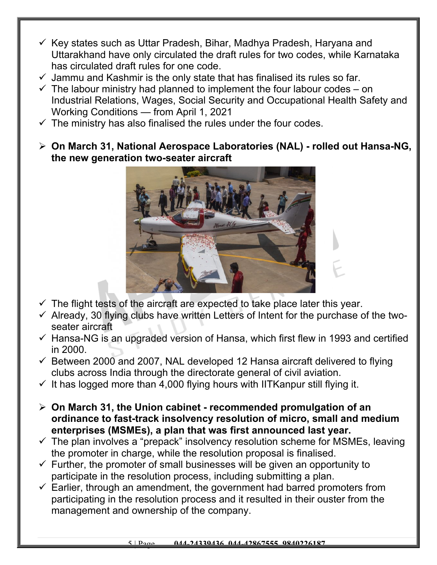- $\checkmark$  Key states such as Uttar Pradesh, Bihar, Madhya Pradesh, Haryana and Uttarakhand have only circulated the draft rules for two codes, while Karnataka has circulated draft rules for one code.
- $\checkmark$  Jammu and Kashmir is the only state that has finalised its rules so far.
- $\checkmark$  The labour ministry had planned to implement the four labour codes on Industrial Relations, Wages, Social Security and Occupational Health Safety and Working Conditions — from April 1, 2021
- $\checkmark$  The ministry has also finalised the rules under the four codes.
- **On March 31, National Aerospace Laboratories (NAL) rolled out Hansa-NG, the new generation two-seater aircraft**



- $\checkmark$  The flight tests of the aircraft are expected to take place later this year.
- $\checkmark$  Already, 30 flying clubs have written Letters of Intent for the purchase of the twoseater aircraft
- $\checkmark$  Hansa-NG is an upgraded version of Hansa, which first flew in 1993 and certified in 2000.
- $\checkmark$  Between 2000 and 2007, NAL developed 12 Hansa aircraft delivered to flying clubs across India through the directorate general of civil aviation.
- $\checkmark$  It has logged more than 4,000 flying hours with IITKanpur still flying it.
- **On March 31, the Union cabinet recommended promulgation of an ordinance to fast-track insolvency resolution of micro, small and medium enterprises (MSMEs), a plan that was first announced last year.**
- $\checkmark$  The plan involves a "prepack" insolvency resolution scheme for MSMEs, leaving the promoter in charge, while the resolution proposal is finalised.
- $\checkmark$  Further, the promoter of small businesses will be given an opportunity to participate in the resolution process, including submitting a plan.
- $\checkmark$  Earlier, through an amendment, the government had barred promoters from participating in the resolution process and it resulted in their ouster from the management and ownership of the company.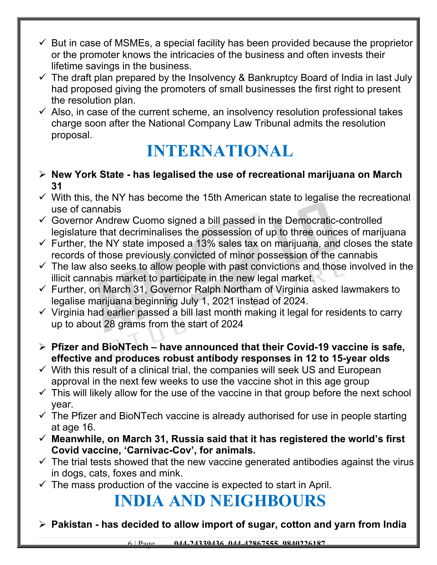- $\checkmark$  But in case of MSMEs, a special facility has been provided because the proprietor or the promoter knows the intricacies of the business and often invests their lifetime savings in the business.
- $\checkmark$  The draft plan prepared by the Insolvency & Bankruptcy Board of India in last July had proposed giving the promoters of small businesses the first right to present the resolution plan.
- $\checkmark$  Also, in case of the current scheme, an insolvency resolution professional takes charge soon after the National Company Law Tribunal admits the resolution proposal.

## **INTERNATIONAL**

- **New York State has legalised the use of recreational marijuana on March 31**
- $\checkmark$  With this, the NY has become the 15th American state to legalise the recreational use of cannabis
- $\checkmark$  Governor Andrew Cuomo signed a bill passed in the Democratic-controlled legislature that decriminalises the possession of up to three ounces of marijuana
- $\checkmark$  Further, the NY state imposed a 13% sales tax on marijuana, and closes the state records of those previously convicted of minor possession of the cannabis
- $\checkmark$  The law also seeks to allow people with past convictions and those involved in the illicit cannabis market to participate in the new legal market.
- $\checkmark$  Further, on March 31, Governor Ralph Northam of Virginia asked lawmakers to legalise marijuana beginning July 1, 2021 instead of 2024.
- $\checkmark$  Virginia had earlier passed a bill last month making it legal for residents to carry up to about 28 grams from the start of 2024
- **Pfizer and BioNTech have announced that their Covid-19 vaccine is safe, effective and produces robust antibody responses in 12 to 15-year olds**
- $\checkmark$  With this result of a clinical trial, the companies will seek US and European approval in the next few weeks to use the vaccine shot in this age group
- $\checkmark$  This will likely allow for the use of the vaccine in that group before the next school year.
- $\checkmark$  The Pfizer and BioNTech vaccine is already authorised for use in people starting at age 16.
- **Meanwhile, on March 31, Russia said that it has registered the world's first Covid vaccine, 'Carnivac-Cov', for animals.**
- $\checkmark$  The trial tests showed that the new vaccine generated antibodies against the virus in dogs, cats, foxes and mink.
- $\checkmark$  The mass production of the vaccine is expected to start in April.

## **INDIA AND NEIGHBOURS**

**Pakistan - has decided to allow import of sugar, cotton and yarn from India**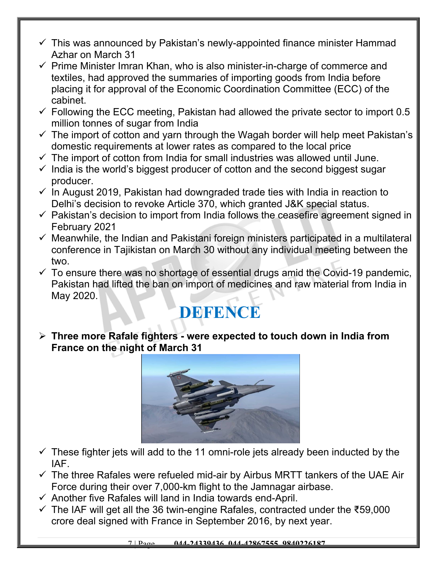- $\checkmark$  This was announced by Pakistan's newly-appointed finance minister Hammad Azhar on March 31
- $\checkmark$  Prime Minister Imran Khan, who is also minister-in-charge of commerce and textiles, had approved the summaries of importing goods from India before placing it for approval of the Economic Coordination Committee (ECC) of the cabinet.
- $\checkmark$  Following the ECC meeting, Pakistan had allowed the private sector to import 0.5 million tonnes of sugar from India
- $\checkmark$  The import of cotton and yarn through the Wagah border will help meet Pakistan's domestic requirements at lower rates as compared to the local price
- $\checkmark$  The import of cotton from India for small industries was allowed until June.
- $\checkmark$  India is the world's biggest producer of cotton and the second biggest sugar producer.
- $\checkmark$  In August 2019, Pakistan had downgraded trade ties with India in reaction to Delhi's decision to revoke Article 370, which granted J&K special status.
- $\checkmark$  Pakistan's decision to import from India follows the ceasefire agreement signed in February 2021
- $\checkmark$  Meanwhile, the Indian and Pakistani foreign ministers participated in a multilateral conference in Tajikistan on March 30 without any individual meeting between the two.
- $\checkmark$  To ensure there was no shortage of essential drugs amid the Covid-19 pandemic, Pakistan had lifted the ban on import of medicines and raw material from India in May 2020.

## **DEFENCE**

 **Three more Rafale fighters - were expected to touch down in India from France on the night of March 31**



- $\checkmark$  These fighter jets will add to the 11 omni-role jets already been inducted by the IAF.
- $\checkmark$  The three Rafales were refueled mid-air by Airbus MRTT tankers of the UAE Air Force during their over 7,000-km flight to the Jamnagar airbase.
- $\checkmark$  Another five Rafales will land in India towards end-April.
- The IAF will get all the 36 twin-engine Rafales, contracted under the ₹59,000 crore deal signed with France in September 2016, by next year.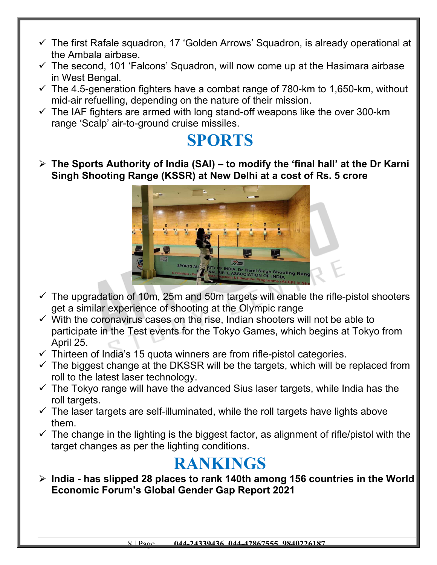- $\checkmark$  The first Rafale squadron, 17 'Golden Arrows' Squadron, is already operational at the Ambala airbase.
- $\checkmark$  The second, 101 'Falcons' Squadron, will now come up at the Hasimara airbase in West Bengal.
- $\checkmark$  The 4.5-generation fighters have a combat range of 780-km to 1,650-km, without mid-air refuelling, depending on the nature of their mission.
- $\checkmark$  The IAF fighters are armed with long stand-off weapons like the over 300-km range 'Scalp' air-to-ground cruise missiles.

#### **SPORTS**

 **The Sports Authority of India (SAI) – to modify the 'final hall' at the Dr Karni Singh Shooting Range (KSSR) at New Delhi at a cost of Rs. 5 crore**



- $\checkmark$  The upgradation of 10m, 25m and 50m targets will enable the rifle-pistol shooters get a similar experience of shooting at the Olympic range
- $\checkmark$  With the coronavirus cases on the rise, Indian shooters will not be able to participate in the Test events for the Tokyo Games, which begins at Tokyo from April 25.
- $\checkmark$  Thirteen of India's 15 quota winners are from rifle-pistol categories.
- $\checkmark$  The biggest change at the DKSSR will be the targets, which will be replaced from roll to the latest laser technology.
- $\checkmark$  The Tokyo range will have the advanced Sius laser targets, while India has the roll targets.
- $\checkmark$  The laser targets are self-illuminated, while the roll targets have lights above them.
- $\checkmark$  The change in the lighting is the biggest factor, as alignment of rifle/pistol with the target changes as per the lighting conditions.

#### **RANKINGS**

 **India - has slipped 28 places to rank 140th among 156 countries in the World Economic Forum's Global Gender Gap Report 2021**